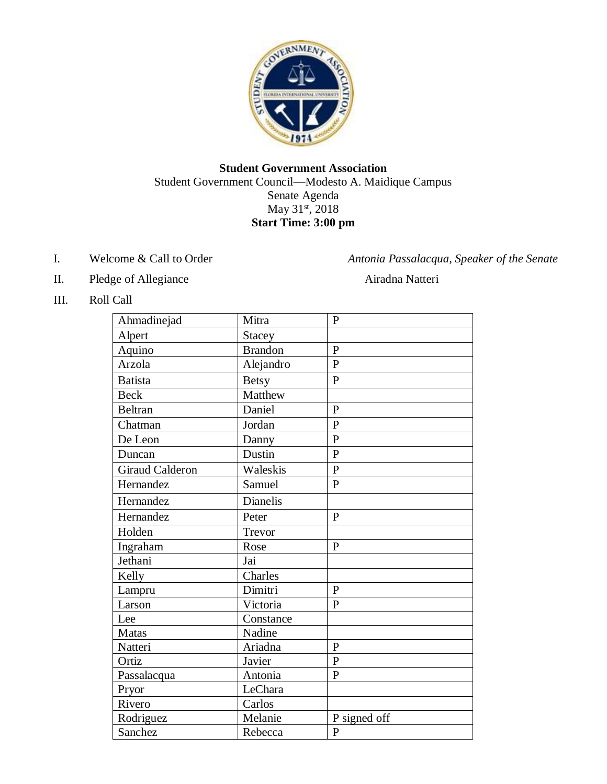

## **Student Government Association** Student Government Council—Modesto A. Maidique Campus Senate Agenda May 31<sup>st</sup>, 2018 **Start Time: 3:00 pm**

- 
- II. Pledge of Allegiance Airadna Natteri

I. Welcome & Call to Order *Antonia Passalacqua, Speaker of the Senate*

III. Roll Call

| Ahmadinejad            | Mitra           | $\mathbf{P}$   |
|------------------------|-----------------|----------------|
| Alpert                 | <b>Stacey</b>   |                |
| Aquino                 | <b>Brandon</b>  | $\mathbf{P}$   |
| Arzola                 | Alejandro       | $\overline{P}$ |
| <b>Batista</b>         | <b>Betsy</b>    | $\mathbf{P}$   |
| <b>Beck</b>            | Matthew         |                |
| <b>Beltran</b>         | Daniel          | $\mathbf{P}$   |
| Chatman                | Jordan          | $\mathbf{P}$   |
| De Leon                | Danny           | $\overline{P}$ |
| Duncan                 | Dustin          | $\mathbf{P}$   |
| <b>Giraud Calderon</b> | Waleskis        | $\overline{P}$ |
| Hernandez              | Samuel          | $\mathbf{P}$   |
| Hernandez              | <b>Dianelis</b> |                |
| Hernandez              | Peter           | $\mathbf{P}$   |
| Holden                 | Trevor          |                |
| Ingraham               | Rose            | $\mathbf{P}$   |
| Jethani                | Jai             |                |
| Kelly                  | Charles         |                |
| Lampru                 | Dimitri         | $\mathbf{P}$   |
| Larson                 | Victoria        | $\mathbf{P}$   |
| Lee                    | Constance       |                |
| <b>Matas</b>           | Nadine          |                |
| Natteri                | Ariadna         | $\mathbf{P}$   |
| Ortiz                  | Javier          | $\overline{P}$ |
| Passalacqua            | Antonia         | $\mathbf{P}$   |
| Pryor                  | LeChara         |                |
| Rivero                 | Carlos          |                |
| Rodriguez              | Melanie         | P signed off   |
| Sanchez                | Rebecca         | $\mathbf{P}$   |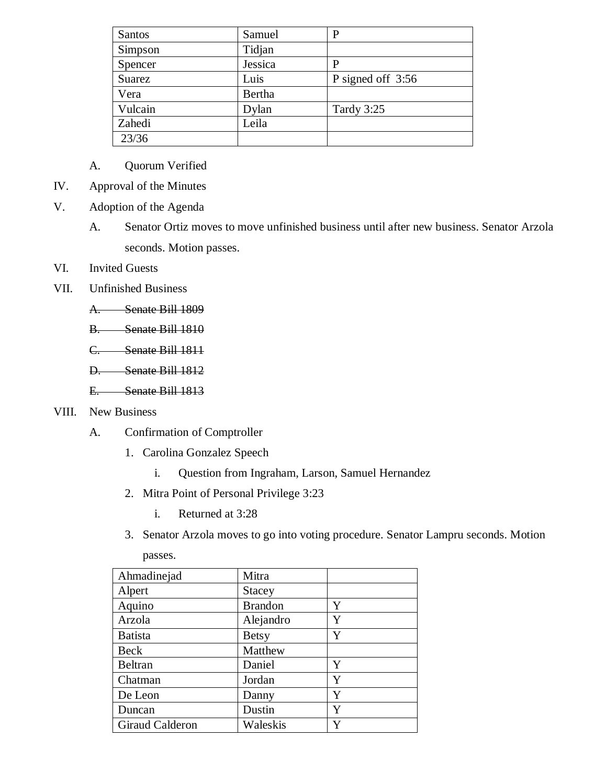| Santos  | Samuel  | P                 |
|---------|---------|-------------------|
| Simpson | Tidjan  |                   |
| Spencer | Jessica | P                 |
| Suarez  | Luis    | P signed off 3:56 |
| Vera    | Bertha  |                   |
| Vulcain | Dylan   | Tardy 3:25        |
| Zahedi  | Leila   |                   |
| 23/36   |         |                   |

- A. Quorum Verified
- IV. Approval of the Minutes
- V. Adoption of the Agenda
	- A. Senator Ortiz moves to move unfinished business until after new business. Senator Arzola seconds. Motion passes.
- VI. Invited Guests
- VII. Unfinished Business
	- A. Senate Bill 1809
	- B. Senate Bill 1810
	- C. Senate Bill 1811
	- D. Senate Bill 1812
	- E. Senate Bill 1813

### VIII. New Business

- A. Confirmation of Comptroller
	- 1. Carolina Gonzalez Speech
		- i. Question from Ingraham, Larson, Samuel Hernandez
	- 2. Mitra Point of Personal Privilege 3:23
		- i. Returned at 3:28
	- 3. Senator Arzola moves to go into voting procedure. Senator Lampru seconds. Motion

| Ahmadinejad     | Mitra          |   |
|-----------------|----------------|---|
| Alpert          | <b>Stacey</b>  |   |
| Aquino          | <b>Brandon</b> | Y |
| Arzola          | Alejandro      | Y |
| <b>Batista</b>  | <b>Betsy</b>   | Y |
| Beck            | Matthew        |   |
| <b>Beltran</b>  | Daniel         | Y |
| Chatman         | Jordan         | Y |
| De Leon         | Danny          | Y |
| Duncan          | Dustin         | Y |
| Giraud Calderon | Waleskis       |   |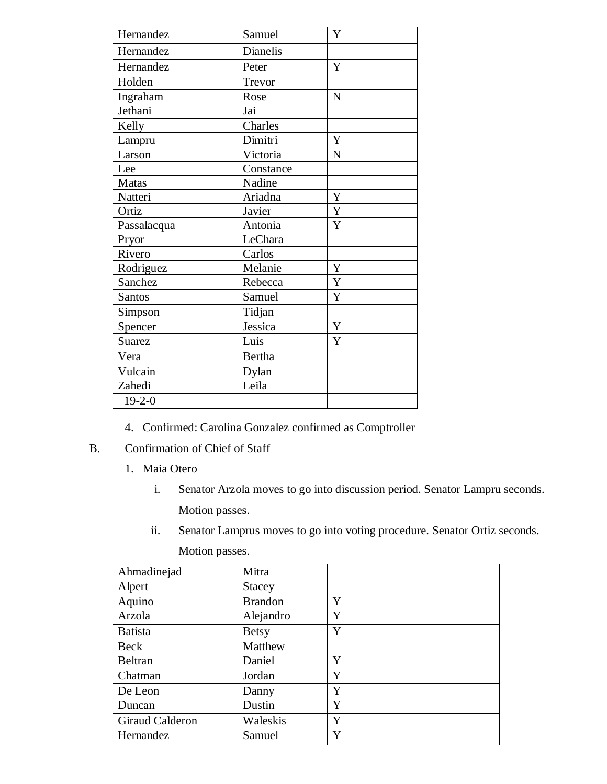| Hernandez     | Samuel<br>Y            |             |
|---------------|------------------------|-------------|
| Hernandez     | Dianelis               |             |
| Hernandez     | Peter                  | Y           |
| Holden        | Trevor                 |             |
| Ingraham      | Rose                   | N           |
| Jethani       | Jai                    |             |
| Kelly         | Charles                |             |
| Lampru        | Dimitri                | $\mathbf Y$ |
| Larson        | Victoria               | N           |
| Lee           | Constance              |             |
| <b>Matas</b>  | Nadine                 |             |
| Natteri       | $\mathbf Y$<br>Ariadna |             |
| Ortiz         | $\mathbf Y$<br>Javier  |             |
| Passalacqua   | Antonia                | Y           |
| Pryor         | LeChara                |             |
| Rivero        | Carlos                 |             |
| Rodriguez     | Melanie                | $\mathbf Y$ |
| Sanchez       | Rebecca                | $\mathbf Y$ |
| <b>Santos</b> | Samuel                 | Y           |
| Simpson       | Tidjan                 |             |
| Spencer       | Jessica                | Y           |
| <b>Suarez</b> | Luis                   | Y           |
| Vera          | Bertha                 |             |
| Vulcain       | Dylan                  |             |
| Zahedi        | Leila                  |             |
| $19 - 2 - 0$  |                        |             |

- 4. Confirmed: Carolina Gonzalez confirmed as Comptroller
- B. Confirmation of Chief of Staff
	- 1. Maia Otero
		- i. Senator Arzola moves to go into discussion period. Senator Lampru seconds. Motion passes.
		- ii. Senator Lamprus moves to go into voting procedure. Senator Ortiz seconds. Motion passes.

| Ahmadinejad     | Mitra          |   |
|-----------------|----------------|---|
| Alpert          | <b>Stacey</b>  |   |
| Aquino          | <b>Brandon</b> | Y |
| Arzola          | Alejandro      | Y |
| <b>Batista</b>  | <b>Betsy</b>   | Y |
| Beck            | Matthew        |   |
| Beltran         | Daniel         | Y |
| Chatman         | Jordan         | Y |
| De Leon         | Danny          | Y |
| Duncan          | Dustin         | Y |
| Giraud Calderon | Waleskis       | Y |
| Hernandez       | Samuel         | Y |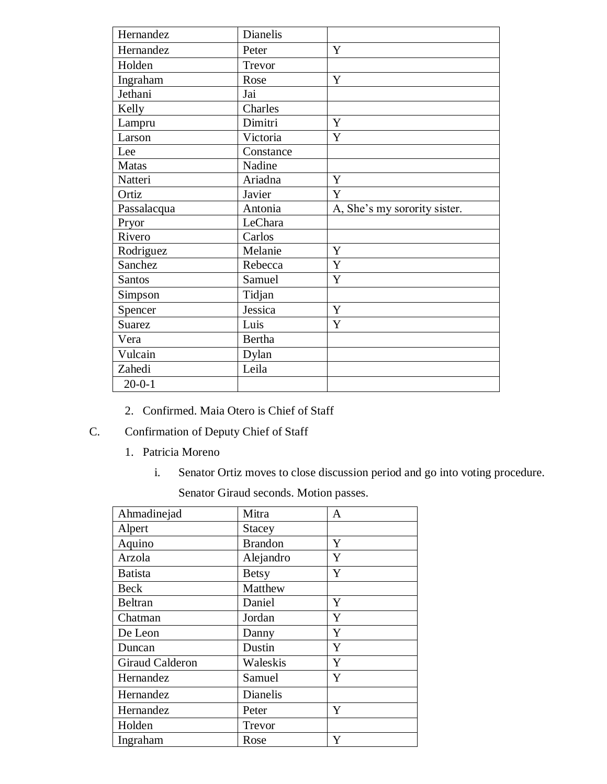| Hernandez     | Dianelis      |                              |
|---------------|---------------|------------------------------|
| Hernandez     | Peter         | Y                            |
| Holden        | Trevor        |                              |
| Ingraham      | Rose          | Y                            |
| Jethani       | Jai           |                              |
| Kelly         | Charles       |                              |
| Lampru        | Dimitri       | Y                            |
| Larson        | Victoria      | Y                            |
| Lee           | Constance     |                              |
| Matas         | Nadine        |                              |
| Natteri       | Ariadna       | Y                            |
| Ortiz         | Javier        | Y                            |
| Passalacqua   | Antonia       | A, She's my sorority sister. |
| Pryor         | LeChara       |                              |
| Rivero        | Carlos        |                              |
| Rodriguez     | Melanie       | Y                            |
| Sanchez       | Rebecca       | Y                            |
| <b>Santos</b> | Samuel        | Y                            |
| Simpson       | Tidjan        |                              |
| Spencer       | Jessica       | Y                            |
| <b>Suarez</b> | Luis          | Y                            |
| Vera          | <b>Bertha</b> |                              |
| Vulcain       | Dylan         |                              |
| Zahedi        | Leila         |                              |
| $20 - 0 - 1$  |               |                              |

2. Confirmed. Maia Otero is Chief of Staff

# C. Confirmation of Deputy Chief of Staff

- 1. Patricia Moreno
	- i. Senator Ortiz moves to close discussion period and go into voting procedure.

Senator Giraud seconds. Motion passes.

| Ahmadinejad     | Mitra          | A |
|-----------------|----------------|---|
| Alpert          | <b>Stacey</b>  |   |
| Aquino          | <b>Brandon</b> | Y |
| Arzola          | Alejandro      | Y |
| <b>Batista</b>  | <b>Betsy</b>   | Y |
| Beck            | Matthew        |   |
| Beltran         | Daniel         | Y |
| Chatman         | Jordan         | Y |
| De Leon         | Danny          | Y |
| Duncan          | Dustin         | Y |
| Giraud Calderon | Waleskis       | Y |
| Hernandez       | Samuel         | Y |
| Hernandez       | Dianelis       |   |
| Hernandez       | Peter          | Y |
| Holden          | Trevor         |   |
| Ingraham        | Rose           | Y |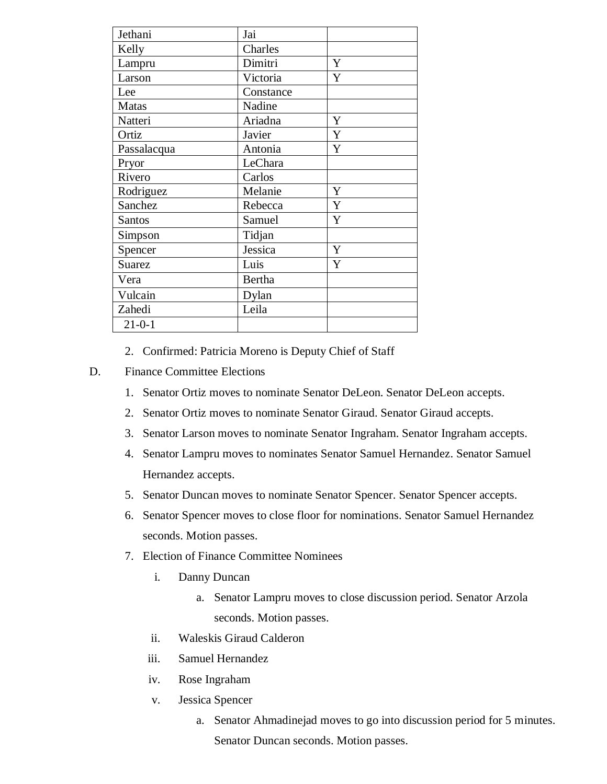| Jethani       | Jai       |   |
|---------------|-----------|---|
| Kelly         | Charles   |   |
| Lampru        | Dimitri   | Y |
| Larson        | Victoria  | Y |
| Lee           | Constance |   |
| <b>Matas</b>  | Nadine    |   |
| Natteri       | Ariadna   | Y |
| Ortiz         | Javier    | Y |
| Passalacqua   | Antonia   | Y |
| Pryor         | LeChara   |   |
| Rivero        | Carlos    |   |
| Rodriguez     | Melanie   | Y |
| Sanchez       | Rebecca   | Y |
| <b>Santos</b> | Samuel    | Y |
| Simpson       | Tidjan    |   |
| Spencer       | Jessica   | Y |
| <b>Suarez</b> | Luis      | Y |
| Vera          | Bertha    |   |
| Vulcain       | Dylan     |   |
| Zahedi        | Leila     |   |
| $21 - 0 - 1$  |           |   |

- 2. Confirmed: Patricia Moreno is Deputy Chief of Staff
- D. Finance Committee Elections
	- 1. Senator Ortiz moves to nominate Senator DeLeon. Senator DeLeon accepts.
	- 2. Senator Ortiz moves to nominate Senator Giraud. Senator Giraud accepts.
	- 3. Senator Larson moves to nominate Senator Ingraham. Senator Ingraham accepts.
	- 4. Senator Lampru moves to nominates Senator Samuel Hernandez. Senator Samuel Hernandez accepts.
	- 5. Senator Duncan moves to nominate Senator Spencer. Senator Spencer accepts.
	- 6. Senator Spencer moves to close floor for nominations. Senator Samuel Hernandez seconds. Motion passes.
	- 7. Election of Finance Committee Nominees
		- i. Danny Duncan
			- a. Senator Lampru moves to close discussion period. Senator Arzola seconds. Motion passes.
		- ii. Waleskis Giraud Calderon
		- iii. Samuel Hernandez
		- iv. Rose Ingraham
		- v. Jessica Spencer
			- a. Senator Ahmadinejad moves to go into discussion period for 5 minutes. Senator Duncan seconds. Motion passes.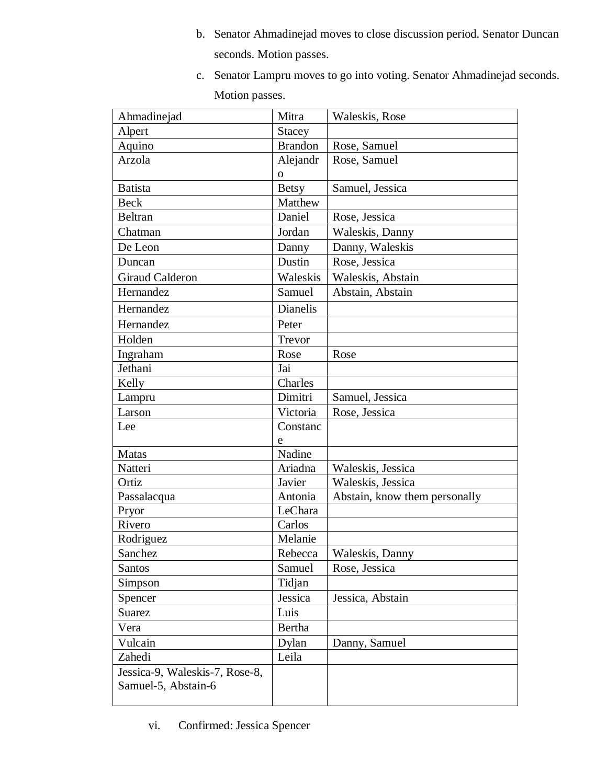- b. Senator Ahmadinejad moves to close discussion period. Senator Duncan seconds. Motion passes.
- c. Senator Lampru moves to go into voting. Senator Ahmadinejad seconds. Motion passes.

| Ahmadinejad                    | Mitra           | Waleskis, Rose                |
|--------------------------------|-----------------|-------------------------------|
| Alpert                         | <b>Stacey</b>   |                               |
| Aquino                         | <b>Brandon</b>  | Rose, Samuel                  |
| Arzola                         | Alejandr        | Rose, Samuel                  |
|                                | $\mathbf{O}$    |                               |
| <b>Batista</b>                 | <b>Betsy</b>    | Samuel, Jessica               |
| <b>Beck</b>                    | Matthew         |                               |
| <b>Beltran</b>                 | Daniel          | Rose, Jessica                 |
| Chatman                        | Jordan          | Waleskis, Danny               |
| De Leon                        | Danny           | Danny, Waleskis               |
| Duncan                         | Dustin          | Rose, Jessica                 |
| <b>Giraud Calderon</b>         | Waleskis        | Waleskis, Abstain             |
| Hernandez                      | Samuel          | Abstain, Abstain              |
| Hernandez                      | <b>Dianelis</b> |                               |
| Hernandez                      | Peter           |                               |
| Holden                         | Trevor          |                               |
| Ingraham                       | Rose            | Rose                          |
| Jethani                        | Jai             |                               |
| Kelly                          | Charles         |                               |
| Lampru                         | Dimitri         | Samuel, Jessica               |
| Larson                         | Victoria        | Rose, Jessica                 |
| Lee                            | Constanc        |                               |
|                                | e               |                               |
| <b>Matas</b>                   | Nadine          |                               |
| Natteri                        | Ariadna         | Waleskis, Jessica             |
| Ortiz                          | Javier          | Waleskis, Jessica             |
| Passalacqua                    | Antonia         | Abstain, know them personally |
| Pryor                          | LeChara         |                               |
| Rivero                         | Carlos          |                               |
| Rodriguez                      | Melanie         |                               |
| Sanchez                        | Rebecca         | Waleskis, Danny               |
| Santos                         | Samuel          | Rose, Jessica                 |
| Simpson                        | Tidjan          |                               |
| Spencer                        | Jessica         | Jessica, Abstain              |
| Suarez                         | Luis            |                               |
| Vera                           | Bertha          |                               |
| Vulcain                        | Dylan           | Danny, Samuel                 |
| Zahedi                         | Leila           |                               |
| Jessica-9, Waleskis-7, Rose-8, |                 |                               |
| Samuel-5, Abstain-6            |                 |                               |
|                                |                 |                               |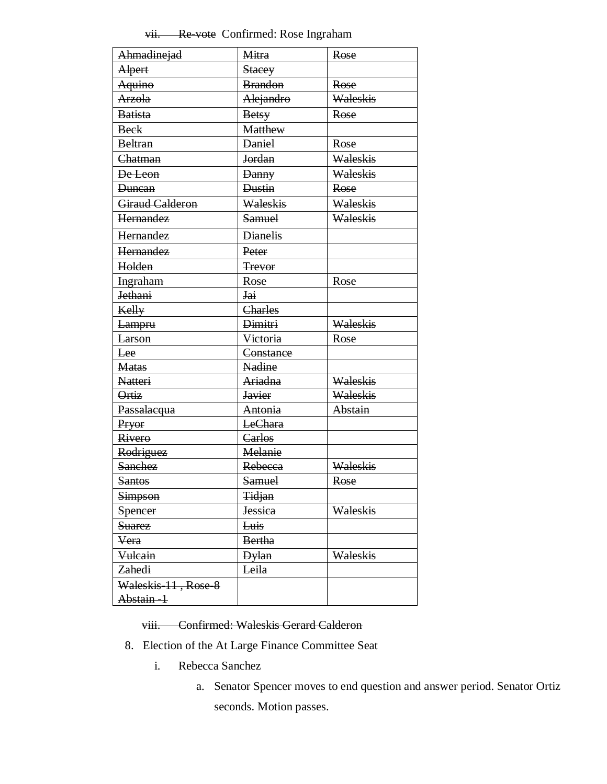# vii. Re-vote Confirmed: Rose Ingraham

| Ahmadinejad            | <b>Mitra</b>       | Rose     |
|------------------------|--------------------|----------|
| Alpert                 | <b>Stacey</b>      |          |
| Aquino                 | <b>Brandon</b>     | Rose     |
| <b>Arzola</b>          | Alejandro          | Waleskis |
| <b>Batista</b>         | <b>Betsy</b>       | Rose     |
| <b>Beck</b>            | <b>Matthew</b>     |          |
| <b>Beltran</b>         | <b>Daniel</b>      | Rose     |
| Chatman                | Jordan             | Waleskis |
| De Leon                | <b>Danny</b>       | Waleskis |
| <b>Duncan</b>          | <b>Dustin</b>      | Rose     |
| <b>Giraud Calderon</b> | Waleskis           | Waleskis |
| Hernandez              | Samuel             | Waleskis |
| Hernandez              | <b>Dianelis</b>    |          |
| <b>Hernandez</b>       | Peter              |          |
| Holden                 | <b>Trevor</b>      |          |
| <b>Ingraham</b>        | Rose               | Rose     |
| <b>Jethani</b>         | Jai                |          |
| Kelly                  | Charles            |          |
| Lampru                 | <del>Dimitri</del> | Waleskis |
| <b>Larson</b>          | Victoria           | Rose     |
| Lee                    | Constance          |          |
| <b>Matas</b>           | <b>Nadine</b>      |          |
| <b>Natteri</b>         | Ariadna            | Waleskis |
| Ortiz                  | <b>Javier</b>      | Waleskis |
| Passalacqua            | Antonia            | Abstain  |
| Pryor                  | LeChara            |          |
| Rivero                 | Carlos             |          |
| Rodriguez              | Melanie            |          |
| <b>Sanchez</b>         | Rebecca            | Waleskis |
| <b>Santos</b>          | <b>Samuel</b>      | Rose     |
| <b>Simpson</b>         | <b>Tidjan</b>      |          |
| Spencer                | <b>Jessica</b>     | Waleskis |
| <b>Suarez</b>          | Luis               |          |
| Vera                   | <b>Bertha</b>      |          |
| Vulcain                | <b>Dylan</b>       | Waleskis |
| Zahedi                 | Leila              |          |
| Waleskis 11, Rose 8    |                    |          |
| Abstain-1              |                    |          |

### viii. Confirmed: Waleskis Gerard Calderon

- 8. Election of the At Large Finance Committee Seat
	- i. Rebecca Sanchez
		- a. Senator Spencer moves to end question and answer period. Senator Ortiz seconds. Motion passes.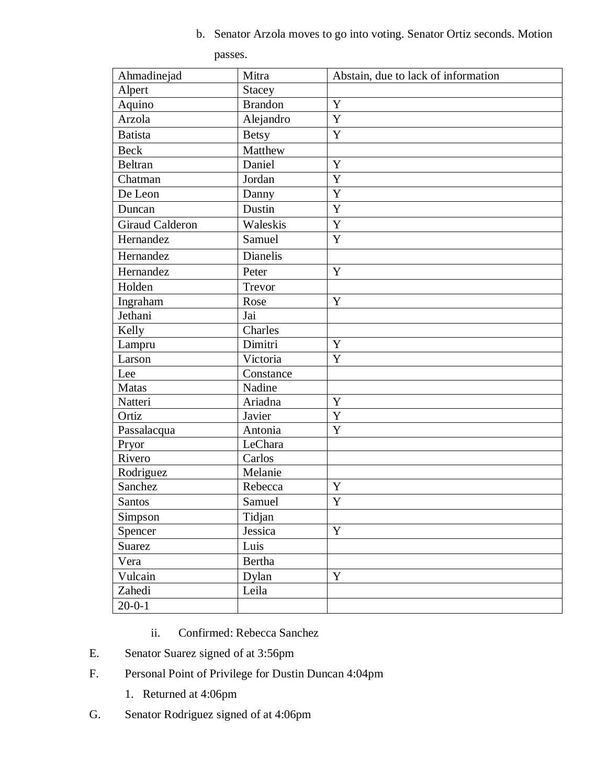b. Senator Arzola moves to go into voting. Senator Ortiz seconds. Motion

passes.

| Ahmadinejad            | Mitra          | Abstain, due to lack of information |
|------------------------|----------------|-------------------------------------|
| Alpert                 | <b>Stacey</b>  |                                     |
| Aquino                 | <b>Brandon</b> | $\mathbf Y$                         |
| Arzola                 | Alejandro      | Y                                   |
| <b>Batista</b>         | <b>Betsy</b>   | Y                                   |
| <b>Beck</b>            | Matthew        |                                     |
| <b>Beltran</b>         | Daniel         | Y                                   |
| Chatman                | Jordan         | Y                                   |
| De Leon                | Danny          | Y                                   |
| Duncan                 | Dustin         | Y                                   |
| <b>Giraud Calderon</b> | Waleskis       | Y                                   |
| Hernandez              | Samuel         | Y                                   |
| Hernandez              | Dianelis       |                                     |
| Hernandez              | Peter          | Y                                   |
| Holden                 | Trevor         |                                     |
| Ingraham               | Rose           | Y                                   |
| Jethani                | Jai            |                                     |
| Kelly                  | Charles        |                                     |
| Lampru                 | Dimitri        | Y                                   |
| Larson                 | Victoria       | Y                                   |
| Lee                    | Constance      |                                     |
| <b>Matas</b>           | Nadine         |                                     |
| Natteri                | Ariadna        | Y                                   |
| Ortiz                  | Javier         | Y                                   |
| Passalacqua            | Antonia        | Y                                   |
| Pryor                  | LeChara        |                                     |
| Rivero                 | Carlos         |                                     |
| Rodriguez              | Melanie        |                                     |
| Sanchez                | Rebecca        | $\mathbf Y$                         |
| Santos                 | Samuel         | Y                                   |
| Simpson                | Tidjan         |                                     |
| Spencer                | Jessica        | $\mathbf Y$                         |
| Suarez                 | Luis           |                                     |
| Vera                   | Bertha         |                                     |
| Vulcain                | Dylan          | Y                                   |
| Zahedi                 | Leila          |                                     |
| $20-0-1$               |                |                                     |

- ii. Confirmed: Rebecca Sanchez
- E. Senator Suarez signed of at 3:56pm
- F. Personal Point of Privilege for Dustin Duncan 4:04pm
	- 1. Returned at 4:06pm
- G. Senator Rodriguez signed of at 4:06pm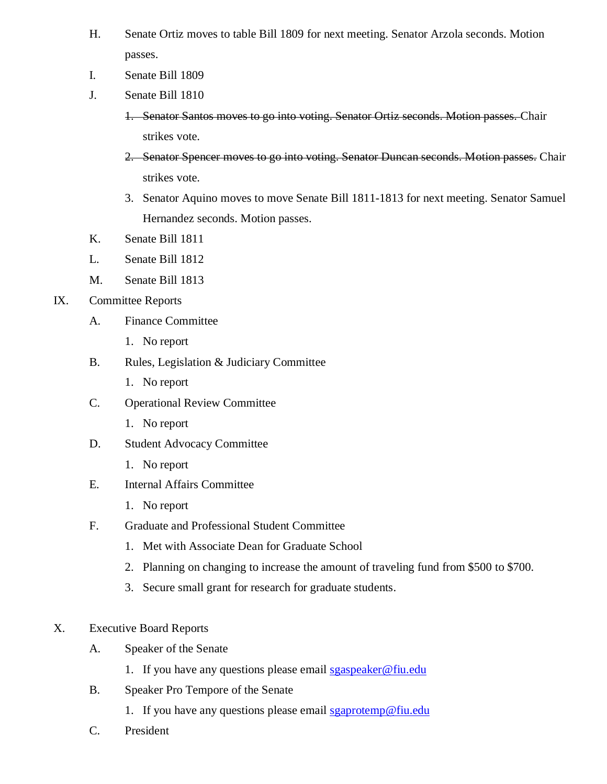- H. Senate Ortiz moves to table Bill 1809 for next meeting. Senator Arzola seconds. Motion passes.
- I. Senate Bill 1809
- J. Senate Bill 1810
	- 1. Senator Santos moves to go into voting. Senator Ortiz seconds. Motion passes. Chair strikes vote.
	- 2. Senator Spencer moves to go into voting. Senator Duncan seconds. Motion passes. Chair strikes vote.
	- 3. Senator Aquino moves to move Senate Bill 1811-1813 for next meeting. Senator Samuel Hernandez seconds. Motion passes.
- K. Senate Bill 1811
- L. Senate Bill 1812
- M. Senate Bill 1813

## IX. Committee Reports

- A. Finance Committee
	- 1. No report
- B. Rules, Legislation & Judiciary Committee
	- 1. No report
- C. Operational Review Committee
	- 1. No report
- D. Student Advocacy Committee
	- 1. No report
- E. Internal Affairs Committee
	- 1. No report
- F. Graduate and Professional Student Committee
	- 1. Met with Associate Dean for Graduate School
	- 2. Planning on changing to increase the amount of traveling fund from \$500 to \$700.
	- 3. Secure small grant for research for graduate students.
- X. Executive Board Reports
	- A. Speaker of the Senate
		- 1. If you have any questions please email [sgaspeaker@fiu.edu](mailto:sgaspeaker@fiu.edu)
	- B. Speaker Pro Tempore of the Senate
		- 1. If you have any questions please email [sgaprotemp@fiu.edu](mailto:sgaprotemp@fiu.edu)
	- C. President